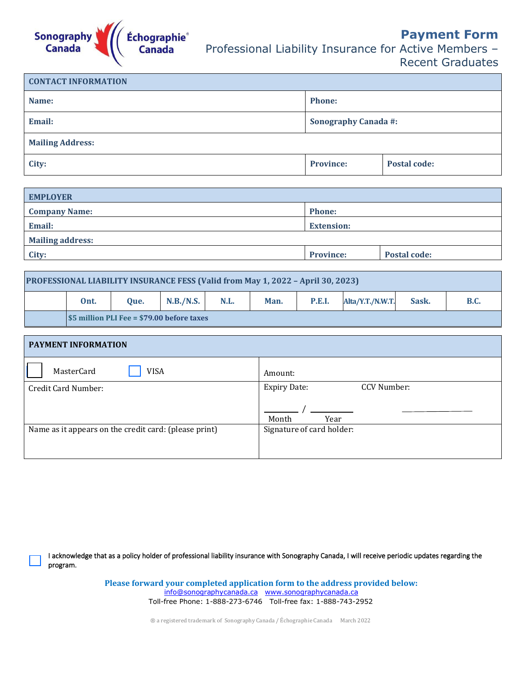

**Payment Form** Professional Liability Insurance for Active Members –

Recent Graduates

| <b>CONTACT INFORMATION</b> |                             |                     |
|----------------------------|-----------------------------|---------------------|
| Name:                      | <b>Phone:</b>               |                     |
| Email:                     | <b>Sonography Canada #:</b> |                     |
| <b>Mailing Address:</b>    |                             |                     |
| City:                      | <b>Province:</b>            | <b>Postal code:</b> |

| <b>EMPLOYER</b>         |                   |                     |
|-------------------------|-------------------|---------------------|
| <b>Company Name:</b>    | <b>Phone:</b>     |                     |
| Email:                  | <b>Extension:</b> |                     |
| <b>Mailing address:</b> |                   |                     |
| City:                   | <b>Province:</b>  | <b>Postal code:</b> |
|                         |                   |                     |

| <b>PROFESSIONAL LIABILITY INSURANCE FESS (Valid from May 1, 2022 - April 30, 2023)</b> |      |      |           |      |      |        |                  |       |             |
|----------------------------------------------------------------------------------------|------|------|-----------|------|------|--------|------------------|-------|-------------|
|                                                                                        | Ont. | Oue. | N.B./N.S. | N.L. | Man. | P.E.I. | Alta/Y.T./N.W.T. | Sask. | <b>B.C.</b> |
| \$5 million PLI Fee = \$79.00 before taxes                                             |      |      |           |      |      |        |                  |       |             |

| PAYMENT INFORMATION                                   |                                                     |
|-------------------------------------------------------|-----------------------------------------------------|
| MasterCard<br><b>VISA</b>                             | Amount:                                             |
| Credit Card Number:                                   | CCV Number:<br><b>Expiry Date:</b><br>Month<br>Year |
| Name as it appears on the credit card: (please print) | Signature of card holder:                           |

I acknowledge that as a policy holder of professional liability insurance with Sonography Canada, I will receive periodic updates regarding the program.

> **Please forward your completed application form to the address provided below:**  [info@sonographycanada.ca www.sonographycanada.ca](about:blank) Toll-free Phone: 1-888-273-6746 Toll-free fax: 1-888-743-2952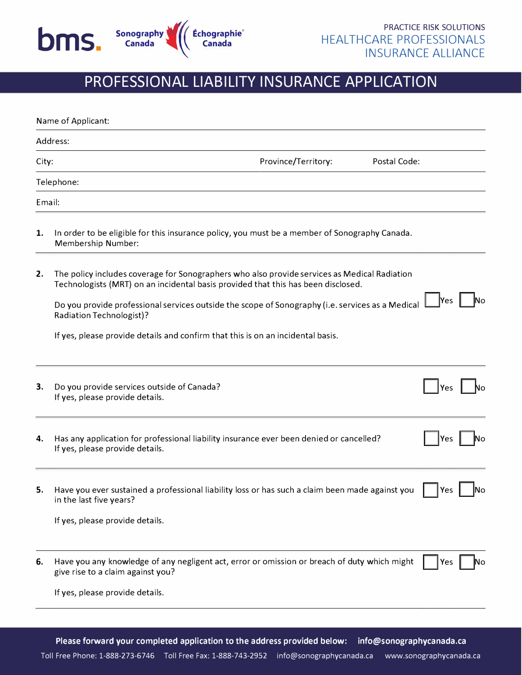

## **PROFESSIONAL LIABILITY INSURANCE APPLICATION**

|       | Name of Applicant:                                                                                                                                                                                                                                                                                                              |  |  |  |
|-------|---------------------------------------------------------------------------------------------------------------------------------------------------------------------------------------------------------------------------------------------------------------------------------------------------------------------------------|--|--|--|
|       | Address:                                                                                                                                                                                                                                                                                                                        |  |  |  |
| City: | Province/Territory:<br>Postal Code:                                                                                                                                                                                                                                                                                             |  |  |  |
|       | Telephone:                                                                                                                                                                                                                                                                                                                      |  |  |  |
|       | Email:                                                                                                                                                                                                                                                                                                                          |  |  |  |
| 1.    | In order to be eligible for this insurance policy, you must be a member of Sonography Canada.<br>Membership Number:                                                                                                                                                                                                             |  |  |  |
| 2.    | The policy includes coverage for Sonographers who also provide services as Medical Radiation<br>Technologists (MRT) on an incidental basis provided that this has been disclosed.<br><b>Yes</b><br>Do you provide professional services outside the scope of Sonography (i.e. services as a Medical<br>Radiation Technologist)? |  |  |  |
|       | If yes, please provide details and confirm that this is on an incidental basis.                                                                                                                                                                                                                                                 |  |  |  |
| З.    | Do you provide services outside of Canada?<br>Yes<br>If yes, please provide details.                                                                                                                                                                                                                                            |  |  |  |
| 4.    | Has any application for professional liability insurance ever been denied or cancelled?<br>Yes<br>If yes, please provide details.                                                                                                                                                                                               |  |  |  |
| 5.    | Have you ever sustained a professional liability loss or has such a claim been made against you<br>Yes<br>lNo<br>in the last five years?                                                                                                                                                                                        |  |  |  |
|       | If yes, please provide details.                                                                                                                                                                                                                                                                                                 |  |  |  |
| 6.    | Have you any knowledge of any negligent act, error or omission or breach of duty which might<br>Yes<br>No<br>give rise to a claim against you?                                                                                                                                                                                  |  |  |  |
|       | If yes, please provide details.                                                                                                                                                                                                                                                                                                 |  |  |  |
|       |                                                                                                                                                                                                                                                                                                                                 |  |  |  |
|       |                                                                                                                                                                                                                                                                                                                                 |  |  |  |